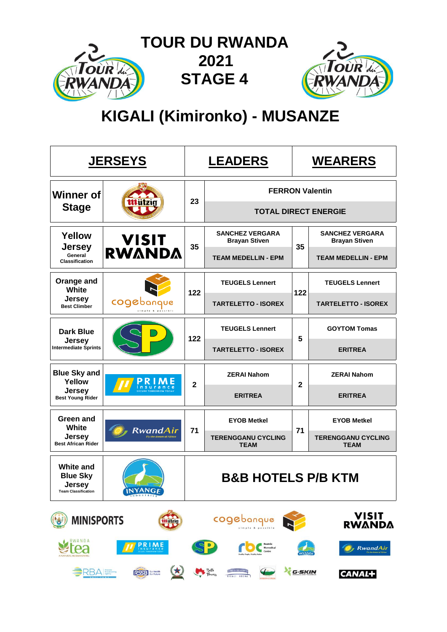

# **KIGALI (Kimironko) - MUSANZE**

|                                                                             | <b>JERSEYS</b>                                                               |                | <b>LEADERS</b>                                 | <b>WEARERS</b> |                                                |  |  |  |
|-----------------------------------------------------------------------------|------------------------------------------------------------------------------|----------------|------------------------------------------------|----------------|------------------------------------------------|--|--|--|
| <b>Winner of</b>                                                            |                                                                              | 23             | <b>FERRON Valentin</b>                         |                |                                                |  |  |  |
| <b>Stage</b>                                                                |                                                                              |                | <b>TOTAL DIRECT ENERGIE</b>                    |                |                                                |  |  |  |
| Yellow                                                                      | <b>VISIT<br/>RWANDA</b><br><b>Jersey</b><br>General<br><b>Classification</b> |                | <b>SANCHEZ VERGARA</b><br><b>Brayan Stiven</b> | 35             | <b>SANCHEZ VERGARA</b><br><b>Brayan Stiven</b> |  |  |  |
|                                                                             |                                                                              |                | <b>TEAM MEDELLIN - EPM</b>                     |                | <b>TEAM MEDELLIN - EPM</b>                     |  |  |  |
| Orange and<br>White                                                         |                                                                              | 122            | <b>TEUGELS Lennert</b>                         | 122            | <b>TEUGELS Lennert</b>                         |  |  |  |
| Jersey<br><b>Best Climber</b>                                               | cogebanque                                                                   |                | <b>TARTELETTO - ISOREX</b>                     |                | <b>TARTELETTO - ISOREX</b>                     |  |  |  |
| <b>Dark Blue</b>                                                            |                                                                              | 122            | <b>TEUGELS Lennert</b>                         | 5              | <b>GOYTOM Tomas</b>                            |  |  |  |
| <b>Jersey</b><br><b>Intermediate Sprints</b>                                |                                                                              |                | <b>TARTELETTO - ISOREX</b>                     |                | <b>ERITREA</b>                                 |  |  |  |
| <b>Blue Sky and</b><br>Yellow                                               |                                                                              | $\overline{2}$ | <b>ZERAI Nahom</b>                             | $\mathbf{2}$   | <b>ZERAI Nahom</b>                             |  |  |  |
| <b>Jersey</b><br><b>Best Young Rider</b>                                    |                                                                              |                | <b>ERITREA</b>                                 |                | <b>ERITREA</b>                                 |  |  |  |
| <b>Green and</b><br>White                                                   |                                                                              |                | <b>EYOB Metkel</b>                             |                | <b>EYOB Metkel</b>                             |  |  |  |
| <b>Jersey</b><br><b>Best African Rider</b>                                  | RwandAir                                                                     | 71             | <b>TERENGGANU CYCLING</b><br><b>TEAM</b>       | 71             | <b>TERENGGANU CYCLING</b><br><b>TEAM</b>       |  |  |  |
| <b>White and</b><br><b>Blue Sky</b><br>Jersey<br><b>Team Classification</b> | <b>INYANGE</b>                                                               |                | <b>B&amp;B HOTELS P/B KTM</b>                  |                |                                                |  |  |  |
| <b>MINISPORTS</b>                                                           | <b>Mützig</b>                                                                |                | cogebanque                                     |                | VISIT<br><b>RWANDA</b>                         |  |  |  |
| RWANDA<br>A NATURAL REAWAKENING                                             | <b>PRIME</b>                                                                 |                |                                                |                | <b>RwandAir</b>                                |  |  |  |
| SRBA <sup>Newskam</sup>                                                     | $\star$<br>RSSB Sur Health                                                   |                | Bette<br>Flowers<br><b>REAL</b>                | G-SKIN         | CANAL+                                         |  |  |  |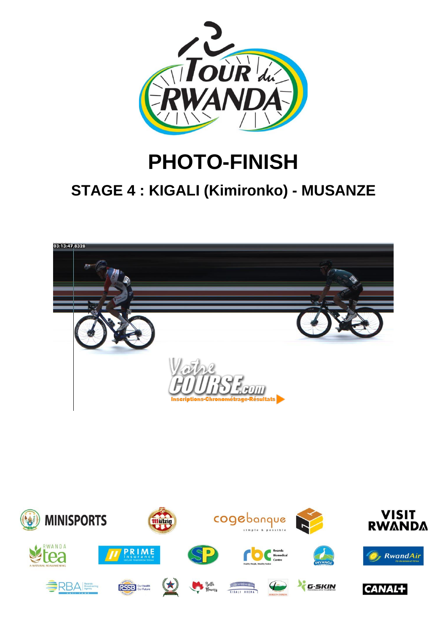

# **PHOTO-FINISH**

# **STAGE 4 : KIGALI (Kimironko) - MUSANZE**



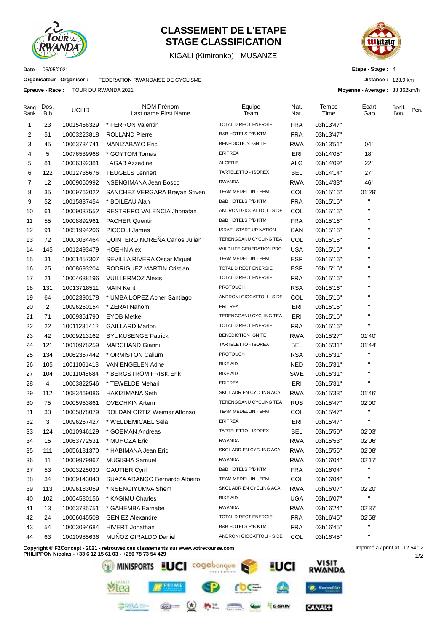

# **CLASSEMENT DE L'ETAPE STAGE CLASSIFICATION**

KIGALI (Kimironko) - MUSANZE



**Etape - Stage :** 4

**Distance :** 123.9 km

**Moyenne - Average :** 38.362km/h

**Date :** 05/05/2021

**Organisateur - Organiser :** FEDERATION RWANDAISE DE CYCLISME

**Epreuve - Race :** TOUR DU RWANDA 2021

| Rang<br>Rank | Dos.<br><b>Bib</b> | UCI ID      | NOM Prénom<br>Last name First Name | Equipe<br>Team                | Nat.<br>Nat. | Temps<br>Time | Ecart<br>Gap       | Bonif.<br>Bon. | Pen. |
|--------------|--------------------|-------------|------------------------------------|-------------------------------|--------------|---------------|--------------------|----------------|------|
| 1            | 23                 | 10015466329 | * FERRON Valentin                  | TOTAL DIRECT ENERGIE          | <b>FRA</b>   | 03h13'47"     |                    |                |      |
| 2            | 51                 | 10003223818 | <b>ROLLAND Pierre</b>              | <b>B&amp;B HOTELS P/B KTM</b> | <b>FRA</b>   | 03h13'47"     |                    |                |      |
| 3            | 45                 | 10063734741 | MANIZABAYO Eric                    | <b>BENEDICTION IGNITE</b>     | <b>RWA</b>   | 03h13'51"     | 04"                |                |      |
| 4            | 5                  | 10076589968 | * GOYTOM Tomas                     | <b>ERITREA</b>                | ERI          | 03h14'05"     | 18"                |                |      |
| 5            | 81                 | 10006392381 | <b>LAGAB Azzedine</b>              | <b>ALGERIE</b>                | <b>ALG</b>   | 03h14'09"     | 22"                |                |      |
| 6            | 122                | 10012735676 | <b>TEUGELS Lennert</b>             | TARTELETTO - ISOREX           | <b>BEL</b>   | 03h14'14"     | 27"                |                |      |
| 7            | 12                 | 10009060992 | NSENGIMANA Jean Bosco              | <b>RWANDA</b>                 | <b>RWA</b>   | 03h14'33"     | 46"                |                |      |
| 8            | 35                 | 10009762022 | SANCHEZ VERGARA Brayan Stiven      | TEAM MEDELLIN - EPM           | COL          | 03h15'16"     | 01'29"             |                |      |
| 9            | 52                 | 10015837454 | * BOILEAU Alan                     | <b>B&amp;B HOTELS P/B KTM</b> | <b>FRA</b>   | 03h15'16"     | н                  |                |      |
| 10           | 61                 | 10009037552 | RESTREPO VALENCIA Jhonatan         | ANDRONI GIOCATTOLI - SIDE     | COL          | 03h15'16"     |                    |                |      |
| 11           | 55                 | 10008892961 | <b>PACHER Quentin</b>              | <b>B&amp;B HOTELS P/B KTM</b> | <b>FRA</b>   | 03h15'16"     |                    |                |      |
| 12           | 91                 | 10051994206 | PICCOLI James                      | <b>ISRAEL START-UP NATION</b> | CAN          | 03h15'16"     |                    |                |      |
| 13           | 72                 | 10003034464 | QUINTERO NOREÑA Carlos Julian      | TERENGGANU CYCLING TEA        | COL          | 03h15'16"     |                    |                |      |
| 14           | 145                | 10012493479 | <b>HOEHN Alex</b>                  | WILDLIFE GENERATION PRO       | <b>USA</b>   | 03h15'16"     |                    |                |      |
| 15           | 31                 | 10001457307 | SEVILLA RIVERA Oscar Miguel        | TEAM MEDELLIN - EPM           | <b>ESP</b>   | 03h15'16"     |                    |                |      |
| 16           | 25                 | 10008693204 | RODRIGUEZ MARTIN Cristian          | <b>TOTAL DIRECT ENERGIE</b>   | <b>ESP</b>   | 03h15'16"     |                    |                |      |
| 17           | 21                 | 10004638196 | <b>VUILLERMOZ Alexis</b>           | <b>TOTAL DIRECT ENERGIE</b>   | <b>FRA</b>   | 03h15'16"     |                    |                |      |
| 18           | 131                | 10013718511 | <b>MAIN Kent</b>                   | <b>PROTOUCH</b>               | <b>RSA</b>   | 03h15'16"     |                    |                |      |
| 19           | 64                 | 10062390178 | * UMBA LOPEZ Abner Santiago        | ANDRONI GIOCATTOLI - SIDE     | COL          | 03h15'16"     |                    |                |      |
| 20           | 2                  | 10096260154 | * ZERAI Nahom                      | <b>ERITREA</b>                | ERI          | 03h15'16"     |                    |                |      |
| 21           | 71                 | 10009351790 | <b>EYOB Metkel</b>                 | TERENGGANU CYCLING TEA        | ERI          | 03h15'16"     | $\blacksquare$     |                |      |
| 22           | 22                 | 10011235412 | <b>GAILLARD Marlon</b>             | TOTAL DIRECT ENERGIE          | <b>FRA</b>   | 03h15'16"     | $\pmb{\mathsf{H}}$ |                |      |
| 23           | 42                 | 10009213162 | <b>BYUKUSENGE Patrick</b>          | <b>BENEDICTION IGNITE</b>     | <b>RWA</b>   | 03h15'27"     | 01'40"             |                |      |
| 24           | 121                | 10010978259 | <b>MARCHAND Gianni</b>             | TARTELETTO - ISOREX           | <b>BEL</b>   | 03h15'31"     | 01'44"             |                |      |
| 25           | 134                | 10062357442 | * ORMISTON Callum                  | <b>PROTOUCH</b>               | <b>RSA</b>   | 03h15'31"     |                    |                |      |
| 26           | 105                | 10011061418 | VAN ENGELEN Adne                   | <b>BIKE AID</b>               | <b>NED</b>   | 03h15'31"     |                    |                |      |
| 27           | 104                | 10011048684 | * BERGSTRÖM FRISK Erik             | <b>BIKE AID</b>               | SWE          | 03h15'31"     |                    |                |      |
| 28           | 4                  | 10063822546 | * TEWELDE Mehari                   | <b>ERITREA</b>                | ERI          | 03h15'31"     | п                  |                |      |
| 29           | 112                | 10083469086 | <b>HAKIZIMANA Seth</b>             | SKOL ADRIEN CYCLING ACA       | <b>RWA</b>   | 03h15'33"     | 01'46"             |                |      |
| 30           | 75                 | 10005953861 | <b>OVECHKIN Artem</b>              | TERENGGANU CYCLING TEA        | <b>RUS</b>   | 03h15'47"     | 02'00"             |                |      |
| 31           | 33                 | 10005878079 | ROLDAN ORTIZ Weimar Alfonso        | TEAM MEDELLIN - EPM           | COL          | 03h15'47"     | П                  |                |      |
| 32           | 3                  | 10096257427 | * WELDEMICAEL Sela                 | <b>ERITREA</b>                | ERI          | 03h15'47"     | $\blacksquare$     |                |      |
| 33           | 124                | 10010946129 | * GOEMAN Andreas                   | TARTELETTO - ISOREX           | <b>BEL</b>   | 03h15'50"     | 02'03"             |                |      |
| 34           | 15                 | 10063772531 | * MUHOZA Eric                      | <b>RWANDA</b>                 | <b>RWA</b>   | 03h15'53"     | 02'06"             |                |      |
| 35           | 111                | 10056181370 | * HABIMANA Jean Eric               | SKOL ADRIEN CYCLING ACA       | <b>RWA</b>   | 03h15'55"     | 02'08"             |                |      |
| 36           | 11                 | 10009979967 | <b>MUGISHA Samuel</b>              | RWANDA                        | <b>RWA</b>   | 03h16'04"     | 02'17"             |                |      |
| 37           | 53                 | 10003225030 | <b>GAUTIER Cyril</b>               | B&B HOTELS P/B KTM            | <b>FRA</b>   | 03h16'04"     | H.                 |                |      |
| 38           | 34                 | 10009143040 | SUAZA ARANGO Bernardo Albeiro      | TEAM MEDELLIN - EPM           | <b>COL</b>   | 03h16'04"     | $\blacksquare$     |                |      |
| 39           | 113                | 10096183059 | * NSENGIYUMVA Shem                 | SKOL ADRIEN CYCLING ACA       | <b>RWA</b>   | 03h16'07"     | 02'20"             |                |      |
| 40           | 102                | 10064580156 | * KAGIMU Charles                   | <b>BIKE AID</b>               | <b>UGA</b>   | 03h16'07"     | $\mathbf{H}$       |                |      |
| 41           | 13                 | 10063735751 | * GAHEMBA Barnabe                  | <b>RWANDA</b>                 | <b>RWA</b>   | 03h16'24"     | 02'37"             |                |      |
| 42           | 24                 | 10006045508 | <b>GENIEZ Alexandre</b>            | TOTAL DIRECT ENERGIE          | <b>FRA</b>   | 03h16'45"     | 02'58"             |                |      |
| 43           | 54                 | 10003094684 | <b>HIVERT Jonathan</b>             | B&B HOTELS P/B KTM            | <b>FRA</b>   | 03h16'45"     | H.                 |                |      |
| 44           | 63                 | 10010985636 | MUÑOZ GIRALDO Daniel               | ANDRONI GIOCATTOLI - SIDE     | COL          | 03h16'45"     | $\blacksquare$     |                |      |

**Copyright © F2Concept - 2021 - retrouvez ces classements sur www.votrecourse.com**

**PHILIPPON Nicolas - +33 6 12 15 61 03 - +250 78 73 54 429**



1/2 Imprimé à / print at : 12:54:02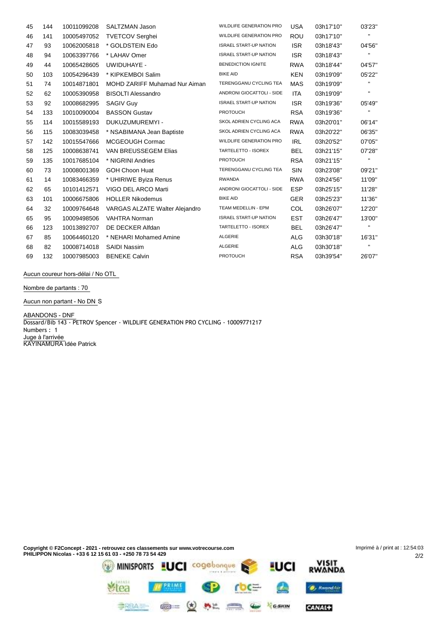| 45 | 144 | 10011099208 | SALTZMAN Jason                 | WILDLIFE GENERATION PRO        | <b>USA</b> | 03h17'10" | 03'23"         |
|----|-----|-------------|--------------------------------|--------------------------------|------------|-----------|----------------|
| 46 | 141 | 10005497052 | <b>TVETCOV Serghei</b>         | <b>WILDLIFE GENERATION PRO</b> | <b>ROU</b> | 03h17'10" | $\mathbf{H}$   |
| 47 | 93  | 10062005818 | * GOLDSTEIN Edo                | <b>ISRAEL START-UP NATION</b>  | <b>ISR</b> | 03h18'43" | 04'56"         |
| 48 | 94  | 10063397766 | * LAHAV Omer                   | <b>ISRAEL START-UP NATION</b>  | <b>ISR</b> | 03h18'43" | $\mathbf{H}$   |
| 49 | 44  | 10065428605 | UWIDUHAYE -                    | <b>BENEDICTION IGNITE</b>      | <b>RWA</b> | 03h18'44" | 04'57"         |
| 50 | 103 | 10054296439 | * KIPKEMBOI Salim              | <b>BIKE AID</b>                | <b>KEN</b> | 03h19'09" | 05'22"         |
| 51 | 74  | 10014871801 | MOHD ZARIFF Muhamad Nur Aiman  | TERENGGANU CYCLING TEA         | MAS        | 03h19'09" | $\blacksquare$ |
| 52 | 62  | 10005390958 | <b>BISOLTI Alessandro</b>      | ANDRONI GIOCATTOLI - SIDE      | ITA        | 03h19'09" | $\mathbf{H}$   |
| 53 | 92  | 10008682995 | <b>SAGIV Guy</b>               | <b>ISRAEL START-UP NATION</b>  | <b>ISR</b> | 03h19'36" | 05'49"         |
| 54 | 133 | 10010090004 | <b>BASSON Gustav</b>           | <b>PROTOUCH</b>                | <b>RSA</b> | 03h19'36" | $\mathbf{H}$   |
| 55 | 114 | 10015589193 | DUKUZUMUREMYI -                | SKOL ADRIEN CYCLING ACA        | <b>RWA</b> | 03h20'01" | 06'14"         |
| 56 | 115 | 10083039458 | * NSABIMANA Jean Baptiste      | SKOL ADRIEN CYCLING ACA        | <b>RWA</b> | 03h20'22" | 06'35"         |
| 57 | 142 | 10015547666 | MCGEOUGH Cormac                | <b>WILDLIFE GENERATION PRO</b> | IRL        | 03h20'52" | 07'05"         |
| 58 | 125 | 10008638741 | VAN BREUSSEGEM Elias           | TARTELETTO - ISOREX            | <b>BEL</b> | 03h21'15" | 07'28"         |
| 59 | 135 | 10017685104 | * NIGRINI Andries              | <b>PROTOUCH</b>                | <b>RSA</b> | 03h21'15" | $\mathbf{H}$   |
| 60 | 73  | 10008001369 | <b>GOH Choon Huat</b>          | TERENGGANU CYCLING TEA         | <b>SIN</b> | 03h23'08" | 09'21"         |
| 61 | 14  | 10083466359 | * UHIRIWE Byiza Renus          | RWANDA                         | <b>RWA</b> | 03h24'56" | 11'09"         |
| 62 | 65  | 10101412571 | VIGO DEL ARCO Marti            | ANDRONI GIOCATTOLI - SIDE      | <b>ESP</b> | 03h25'15" | 11'28"         |
| 63 | 101 | 10006675806 | <b>HOLLER Nikodemus</b>        | <b>BIKE AID</b>                | <b>GER</b> | 03h25'23" | 11'36"         |
| 64 | 32  | 10009764648 | VARGAS ALZATE Walter Alejandro | TEAM MEDELLIN - EPM            | <b>COL</b> | 03h26'07" | 12'20"         |
| 65 | 95  | 10009498506 | <b>VAHTRA Norman</b>           | <b>ISRAEL START-UP NATION</b>  | <b>EST</b> | 03h26'47" | 13'00"         |
| 66 | 123 | 10013892707 | DE DECKER Alfdan               | TARTELETTO - ISOREX            | <b>BEL</b> | 03h26'47" | $\mathbf{H}$   |
| 67 | 85  | 10064460120 | * NEHARI Mohamed Amine         | ALGERIE                        | <b>ALG</b> | 03h30'18" | 16'31"         |
| 68 | 82  | 10008714018 | <b>SAIDI Nassim</b>            | ALGERIE                        | <b>ALG</b> | 03h30'18" | $\mathbf{H}$   |
| 69 | 132 | 10007985003 | <b>BENEKE Calvin</b>           | <b>PROTOUCH</b>                | <b>RSA</b> | 03h39'54" | 26'07"         |

**Aucun coureur hors-délai / No OTL**

**Nombre de partants : 70**

**Aucun non partant - No DN** S

**ABANDONS - DNF** Dossard/Bib 143 - PETROV Spencer - WILDLIFE GENERATION PRO CYCLING - 10009771217 Numbers : 1 **Juge à l'arrivée** KAYINAMURA Idée Patrick

tea

**Copyright © F2Concept - 2021 - retrouvez ces classements sur www.votrecourse.com** Imprimé à / print at : 12:54:03**PHILIPPON Nicolas - +33 6 12 15 61 03 - +250 78 73 54 429** 2/2 MINISPORTS LUCI Cogebongue & LUCI RWANDA

**FRIME SP COC= 2** 

**SBALL @ Q 5% C & Year** 

**O**, RwandAir

CANAL+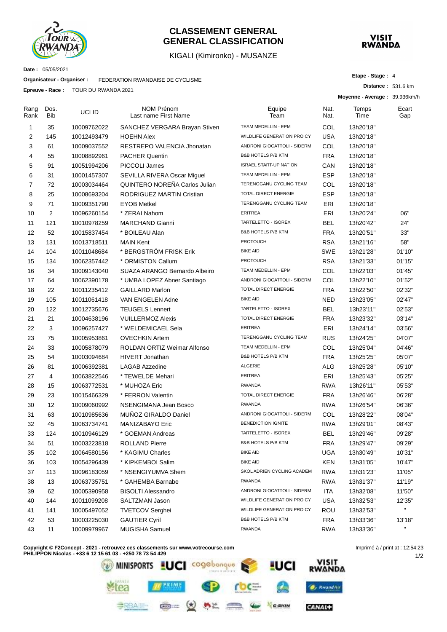

### **CLASSEMENT GENERAL GENERAL CLASSIFICATION**

KIGALI (Kimironko) - MUSANZE



**Date :** 05/05/2021

**Organisateur - Organiser :** FEDERATION RWANDAISE DE CYCLISME

**Epreuve - Race :** TOUR DU RWANDA 2021

**Etape - Stage :** 4

**Distance :** 531.6 km **Moyenne - Average :** 39.936km/h

|                |                    |             |                                           |                                    |              | וועוטטכ.כט . www.murrecommunity.com |              |
|----------------|--------------------|-------------|-------------------------------------------|------------------------------------|--------------|-------------------------------------|--------------|
| Rang<br>Rank   | Dos.<br><b>Bib</b> | UCI ID      | <b>NOM Prénom</b><br>Last name First Name | Equipe<br>Team                     | Nat.<br>Nat. | Temps<br>Time                       | Ecart<br>Gap |
| $\mathbf{1}$   | 35                 | 10009762022 | SANCHEZ VERGARA Brayan Stiven             | TEAM MEDELLIN - EPM                | COL          | 13h20'18"                           |              |
| 2              | 145                | 10012493479 | <b>HOEHN Alex</b>                         | WILDLIFE GENERATION PRO CY         | <b>USA</b>   | 13h20'18"                           |              |
| 3              | 61                 | 10009037552 | RESTREPO VALENCIA Jhonatan                | ANDRONI GIOCATTOLI - SIDERM        | COL          | 13h20'18"                           |              |
| 4              | 55                 | 10008892961 | <b>PACHER Quentin</b>                     | <b>B&amp;B HOTELS P/B KTM</b>      | <b>FRA</b>   | 13h20'18"                           |              |
| 5              | 91                 | 10051994206 | PICCOLI James                             | <b>ISRAEL START-UP NATION</b>      | CAN          | 13h20'18"                           |              |
| 6              | 31                 | 10001457307 | SEVILLA RIVERA Oscar Miguel               | TEAM MEDELLIN - EPM                | <b>ESP</b>   | 13h20'18"                           |              |
| $\overline{7}$ | 72                 | 10003034464 | QUINTERO NOREÑA Carlos Julian             | TERENGGANU CYCLING TEAM            | COL          | 13h20'18"                           |              |
| 8              | 25                 | 10008693204 | <b>RODRIGUEZ MARTIN Cristian</b>          | TOTAL DIRECT ENERGIE               | <b>ESP</b>   | 13h20'18"                           |              |
| 9              | 71                 | 10009351790 | <b>EYOB Metkel</b>                        | TERENGGANU CYCLING TEAM            | ERI          | 13h20'18"                           |              |
| 10             | 2                  | 10096260154 | * ZERAI Nahom                             | <b>ERITREA</b>                     | ERI          | 13h20'24"                           | 06"          |
| 11             | 121                | 10010978259 | <b>MARCHAND Gianni</b>                    | TARTELETTO - ISOREX                | BEL          | 13h20'42"                           | 24"          |
| 12             | 52                 | 10015837454 | * BOILEAU Alan                            | <b>B&amp;B HOTELS P/B KTM</b>      | <b>FRA</b>   | 13h20'51"                           | 33"          |
| 13             | 131                | 10013718511 | <b>MAIN Kent</b>                          | <b>PROTOUCH</b>                    | <b>RSA</b>   | 13h21'16"                           | 58"          |
| 14             | 104                | 10011048684 | * BERGSTRÖM FRISK Erik                    | <b>BIKE AID</b>                    | <b>SWE</b>   | 13h21'28"                           | 01'10"       |
| 15             | 134                | 10062357442 | * ORMISTON Callum                         | <b>PROTOUCH</b>                    | <b>RSA</b>   | 13h21'33"                           | 01'15"       |
| 16             | 34                 | 10009143040 | SUAZA ARANGO Bernardo Albeiro             | TEAM MEDELLIN - EPM                | COL          | 13h22'03"                           | 01'45"       |
| 17             | 64                 | 10062390178 | * UMBA LOPEZ Abner Santiago               | <b>ANDRONI GIOCATTOLI - SIDERM</b> | COL          | 13h22'10"                           | 01'52"       |
| 18             | 22                 | 10011235412 | <b>GAILLARD Marlon</b>                    | TOTAL DIRECT ENERGIE               | <b>FRA</b>   | 13h22'50"                           | 02'32"       |
| 19             | 105                | 10011061418 | VAN ENGELEN Adne                          | <b>BIKE AID</b>                    | <b>NED</b>   | 13h23'05"                           | 02'47"       |
| 20             | 122                | 10012735676 | <b>TEUGELS Lennert</b>                    | TARTELETTO - ISOREX                | <b>BEL</b>   | 13h23'11"                           | 02'53"       |
| 21             | 21                 | 10004638196 | <b>VUILLERMOZ Alexis</b>                  | TOTAL DIRECT ENERGIE               | <b>FRA</b>   | 13h23'32"                           | 03'14"       |
| 22             | 3                  | 10096257427 | * WELDEMICAEL Sela                        | <b>ERITREA</b>                     | ERI          | 13h24'14"                           | 03'56"       |
| 23             | 75                 | 10005953861 | <b>OVECHKIN Artem</b>                     | TERENGGANU CYCLING TEAM            | <b>RUS</b>   | 13h24'25"                           | 04'07"       |
| 24             | 33                 | 10005878079 | ROLDAN ORTIZ Weimar Alfonso               | TEAM MEDELLIN - EPM                | COL          | 13h25'04"                           | 04'46"       |
| 25             | 54                 | 10003094684 | <b>HIVERT Jonathan</b>                    | B&B HOTELS P/B KTM                 | <b>FRA</b>   | 13h25'25"                           | 05'07"       |
| 26             | 81                 | 10006392381 | <b>LAGAB Azzedine</b>                     | <b>ALGERIE</b>                     | ALG          | 13h25'28"                           | 05'10"       |
| 27             | 4                  | 10063822546 | * TEWELDE Mehari                          | <b>ERITREA</b>                     | ERI          | 13h25'43"                           | 05'25"       |
| 28             | 15                 | 10063772531 | * MUHOZA Eric                             | <b>RWANDA</b>                      | RWA          | 13h26'11"                           | 05'53"       |
| 29             | 23                 | 10015466329 | * FERRON Valentin                         | TOTAL DIRECT ENERGIE               | <b>FRA</b>   | 13h26'46"                           | 06'28"       |
| 30             | 12                 | 10009060992 | NSENGIMANA Jean Bosco                     | <b>RWANDA</b>                      | <b>RWA</b>   | 13h26'54"                           | 06'36"       |
| 31             | 63                 | 10010985636 | MUÑOZ GIRALDO Daniel                      | ANDRONI GIOCATTOLI - SIDERM        | COL          | 13h28'22"                           | 08'04"       |
| 32             | 45                 | 10063734741 | MANIZABAYO Eric                           | <b>BENEDICTION IGNITE</b>          | <b>RWA</b>   | 13h29'01"                           | 08'43"       |
| 33             | 124                | 10010946129 | * GOEMAN Andreas                          | TARTELETTO - ISOREX                | <b>BEL</b>   | 13h29'46"                           | 09'28"       |
| 34             | 51                 | 10003223818 | <b>ROLLAND Pierre</b>                     | B&B HOTELS P/B KTM                 | <b>FRA</b>   | 13h29'47"                           | 09'29"       |
| 35             | 102                | 10064580156 | * KAGIMU Charles                          | <b>BIKE AID</b>                    | <b>UGA</b>   | 13h30'49"                           | 10'31"       |
| 36             | 103                | 10054296439 | * KIPKEMBOI Salim                         | <b>BIKE AID</b>                    | <b>KEN</b>   | 13h31'05"                           | 10'47"       |
| 37             | 113                | 10096183059 | * NSENGIYUMVA Shem                        | SKOL ADRIEN CYCLING ACADEM         | <b>RWA</b>   | 13h31'23"                           | 11'05"       |
| 38             | 13                 | 10063735751 | * GAHEMBA Barnabe                         | <b>RWANDA</b>                      | <b>RWA</b>   | 13h31'37"                           | 11'19"       |
| 39             | 62                 | 10005390958 | <b>BISOLTI Alessandro</b>                 | ANDRONI GIOCATTOLI - SIDERM        | ITA          | 13h32'08"                           | 11'50"       |
| 40             | 144                | 10011099208 | SALTZMAN Jason                            | WILDLIFE GENERATION PRO CY         | <b>USA</b>   | 13h32'53"                           | 12'35"       |
| 41             | 141                | 10005497052 | <b>TVETCOV Serghei</b>                    | WILDLIFE GENERATION PRO CY         | <b>ROU</b>   | 13h32'53"                           | $\mathbf{u}$ |
| 42             | 53                 | 10003225030 | <b>GAUTIER Cyril</b>                      | B&B HOTELS P/B KTM                 | <b>FRA</b>   | 13h33'36"                           | 13'18"       |
| 43             | 11                 | 10009979967 | MUGISHA Samuel                            | <b>RWANDA</b>                      | <b>RWA</b>   | 13h33'36"                           | H.           |

**Copyright © F2Concept - 2021 - retrouvez ces classements sur www.votrecourse.com**



1/2 Imprimé à / print at : 12:54:23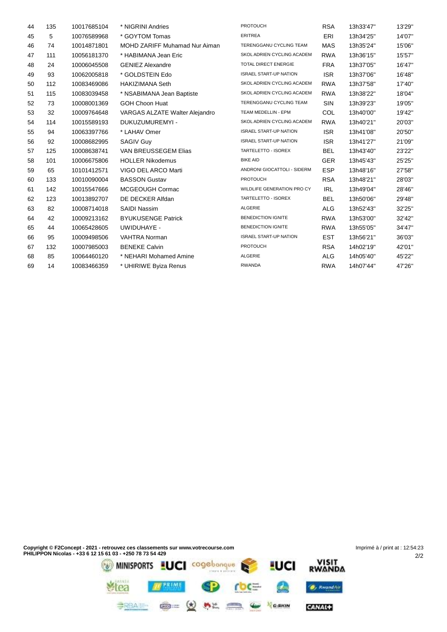| 44 | 135 | 10017685104 | * NIGRINI Andries                    | <b>PROTOUCH</b>               | <b>RSA</b> | 13h33'47" | 13'29" |
|----|-----|-------------|--------------------------------------|-------------------------------|------------|-----------|--------|
| 45 | 5   | 10076589968 | * GOYTOM Tomas                       | <b>ERITREA</b>                | ERI        | 13h34'25" | 14'07" |
| 46 | 74  | 10014871801 | <b>MOHD ZARIFF Muhamad Nur Aiman</b> | TERENGGANU CYCLING TEAM       | <b>MAS</b> | 13h35'24" | 15'06" |
| 47 | 111 | 10056181370 | * HABIMANA Jean Eric                 | SKOL ADRIEN CYCLING ACADEM    | <b>RWA</b> | 13h36'15" | 15'57" |
| 48 | 24  | 10006045508 | <b>GENIEZ Alexandre</b>              | TOTAL DIRECT ENERGIE          | <b>FRA</b> | 13h37'05" | 16'47" |
| 49 | 93  | 10062005818 | * GOLDSTEIN Edo                      | <b>ISRAEL START-UP NATION</b> | <b>ISR</b> | 13h37'06" | 16'48" |
| 50 | 112 | 10083469086 | <b>HAKIZIMANA Seth</b>               | SKOL ADRIEN CYCLING ACADEM    | <b>RWA</b> | 13h37'58" | 17'40" |
| 51 | 115 | 10083039458 | * NSABIMANA Jean Baptiste            | SKOL ADRIEN CYCLING ACADEM    | <b>RWA</b> | 13h38'22" | 18'04" |
| 52 | 73  | 10008001369 | <b>GOH Choon Huat</b>                | TERENGGANU CYCLING TEAM       | SIN        | 13h39'23" | 19'05" |
| 53 | 32  | 10009764648 | VARGAS ALZATE Walter Alejandro       | TEAM MEDELLIN - EPM           | COL        | 13h40'00" | 19'42" |
| 54 | 114 | 10015589193 | DUKUZUMUREMYI -                      | SKOL ADRIEN CYCLING ACADEM    | <b>RWA</b> | 13h40'21" | 20'03" |
| 55 | 94  | 10063397766 | * LAHAV Omer                         | <b>ISRAEL START-UP NATION</b> | <b>ISR</b> | 13h41'08" | 20'50" |
| 56 | 92  | 10008682995 | <b>SAGIV Guy</b>                     | <b>ISRAEL START-UP NATION</b> | <b>ISR</b> | 13h41'27" | 21'09" |
| 57 | 125 | 10008638741 | VAN BREUSSEGEM Elias                 | TARTELETTO - ISOREX           | <b>BEL</b> | 13h43'40" | 23'22" |
| 58 | 101 | 10006675806 | <b>HOLLER Nikodemus</b>              | <b>BIKE AID</b>               | <b>GER</b> | 13h45'43" | 25'25" |
| 59 | 65  | 10101412571 | VIGO DEL ARCO Marti                  | ANDRONI GIOCATTOLI - SIDERM   | <b>ESP</b> | 13h48'16" | 27'58" |
| 60 | 133 | 10010090004 | <b>BASSON Gustav</b>                 | <b>PROTOUCH</b>               | <b>RSA</b> | 13h48'21" | 28'03" |
| 61 | 142 | 10015547666 | MCGEOUGH Cormac                      | WILDLIFE GENERATION PRO CY    | <b>IRL</b> | 13h49'04" | 28'46" |
| 62 | 123 | 10013892707 | DE DECKER Alfdan                     | TARTELETTO - ISOREX           | <b>BEL</b> | 13h50'06" | 29'48" |
| 63 | 82  | 10008714018 | <b>SAIDI Nassim</b>                  | ALGERIE                       | <b>ALG</b> | 13h52'43" | 32'25" |
| 64 | 42  | 10009213162 | <b>BYUKUSENGE Patrick</b>            | <b>BENEDICTION IGNITE</b>     | <b>RWA</b> | 13h53'00" | 32'42" |
| 65 | 44  | 10065428605 | UWIDUHAYE -                          | <b>BENEDICTION IGNITE</b>     | <b>RWA</b> | 13h55'05" | 34'47" |
| 66 | 95  | 10009498506 | VAHTRA Norman                        | <b>ISRAEL START-UP NATION</b> | <b>EST</b> | 13h56'21" | 36'03" |
| 67 | 132 | 10007985003 | <b>BENEKE Calvin</b>                 | <b>PROTOUCH</b>               | <b>RSA</b> | 14h02'19" | 42'01" |
| 68 | 85  | 10064460120 | * NEHARI Mohamed Amine               | ALGERIE                       | <b>ALG</b> | 14h05'40" | 45'22" |
| 69 | 14  | 10083466359 | * UHIRIWE Byiza Renus                | <b>RWANDA</b>                 | <b>RWA</b> | 14h07'44" | 47'26" |
|    |     |             |                                      |                               |            |           |        |

Imprimé à / print at : 12:54:23**Copyright © F2Concept - 2021 - retrouvez ces classements sur www.votrecourse.com PHILIPPON Nicolas - +33 6 12 15 61 03 - +250 78 73 54 429** 2/2 Stea **FIRE SP** roc=  $\bullet$  $\bullet$ , KwandAir

CANAL+

**BRAIN @= (d) AL CO & Yearn**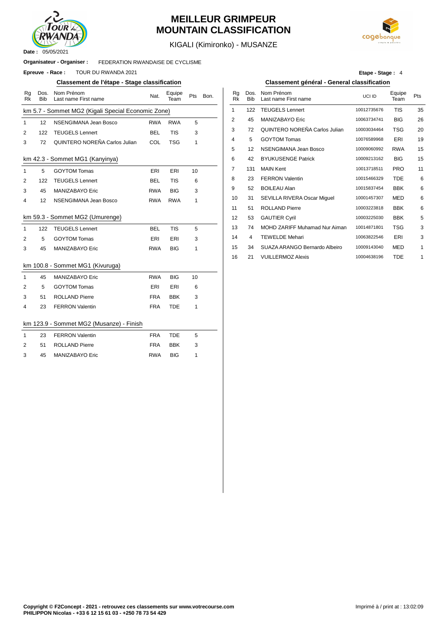

## **MEILLEUR GRIMPEUR MOUNTAIN CLASSIFICATION**



KIGALI (Kimironko) - MUSANZE

#### FEDERATION RWANDAISE DE CYCLISME **Organisateur - Organiser :**

**Epreuve - Race : TOUR DU RWANDA 2021** 

#### **Classement de l'étape - Stage classification Classement général - General classification**

| Rg<br><b>Rk</b> | Dos.<br><b>Bib</b> | Nom Prénom<br>Last name First name                 | Nat.       | Equipe<br>Team | Pts | Bon. | Rg<br><b>Rk</b> | Dos.<br><b>Bib</b> | Nom Prénom<br>Last name First na |
|-----------------|--------------------|----------------------------------------------------|------------|----------------|-----|------|-----------------|--------------------|----------------------------------|
|                 |                    | km 5.7 - Sommet MG2 (Kigali Special Economic Zone) |            |                |     |      | 1               | 122                | <b>TEUGELS Lenner</b>            |
| $\mathbf{1}$    | 12                 | NSENGIMANA Jean Bosco                              | <b>RWA</b> | <b>RWA</b>     | 5   |      | 2               | 45                 | MANIZABAYO Eri                   |
| $\overline{2}$  | 122                | <b>TEUGELS Lennert</b>                             | <b>BEL</b> | <b>TIS</b>     | 3   |      | 3               | 72                 | <b>QUINTERO NORE</b>             |
| 3               | 72                 | QUINTERO NOREÑA Carlos Julian                      | COL        | <b>TSG</b>     | 1   |      | 4               | 5                  | <b>GOYTOM Tomas</b>              |
|                 |                    |                                                    |            |                |     |      | 5               | 12                 | NSENGIMANA Je                    |
|                 |                    | km 42.3 - Sommet MG1 (Kanyinya)                    |            |                |     |      | 6               | 42                 | <b>BYUKUSENGE Pa</b>             |
| $\mathbf{1}$    | 5                  | <b>GOYTOM Tomas</b>                                | ERI        | ERI            | 10  |      | 7               | 131                | <b>MAIN Kent</b>                 |
| 2               | 122                | <b>TEUGELS Lennert</b>                             | <b>BEL</b> | <b>TIS</b>     | 6   |      | 8               | 23                 | <b>FERRON Valentin</b>           |
| 3               | 45                 | MANIZABAYO Eric                                    | <b>RWA</b> | <b>BIG</b>     | 3   |      | 9               | 52                 | <b>BOILEAU Alan</b>              |
| 4               | 12                 | NSENGIMANA Jean Bosco                              | <b>RWA</b> | <b>RWA</b>     | 1   |      | 10              | 31                 | SEVILLA RIVERA                   |
|                 |                    |                                                    |            |                |     |      | 11              | 51                 | <b>ROLLAND Pierre</b>            |
|                 |                    | km 59.3 - Sommet MG2 (Umurenge)                    |            |                |     |      | 12              | 53                 | <b>GAUTIER Cyril</b>             |
| $\mathbf{1}$    | 122                | <b>TEUGELS Lennert</b>                             | <b>BEL</b> | <b>TIS</b>     | 5   |      | 13              | 74                 | <b>MOHD ZARIFF M</b>             |
| 2               | 5                  | <b>GOYTOM Tomas</b>                                | ERI        | ERI            | 3   |      | 14              | 4                  | <b>TEWELDE Mehari</b>            |
| 3               | 45                 | MANIZABAYO Eric                                    | <b>RWA</b> | <b>BIG</b>     | 1   |      | 15              | 34                 | SUAZA ARANGO                     |
|                 |                    |                                                    |            |                |     |      | 16              | 21                 | <b>VUILLERMOZ Ale</b>            |
|                 |                    | km 100.8 - Sommet MG1 (Kivuruga)                   |            |                |     |      |                 |                    |                                  |
| $\mathbf{1}$    | 45                 | MANIZABAYO Eric                                    | <b>RWA</b> | <b>BIG</b>     | 10  |      |                 |                    |                                  |
| 2               | 5                  | <b>GOYTOM Tomas</b>                                | ERI        | ERI            | 6   |      |                 |                    |                                  |
| 3               | 51                 | <b>ROLLAND Pierre</b>                              | <b>FRA</b> | <b>BBK</b>     | 3   |      |                 |                    |                                  |
| 4               | 23                 | <b>FERRON Valentin</b>                             | <b>FRA</b> | <b>TDE</b>     | 1   |      |                 |                    |                                  |
|                 |                    |                                                    |            |                |     |      |                 |                    |                                  |
|                 |                    | km 123.9 - Sommet MG2 (Musanze) - Finish           |            |                |     |      |                 |                    |                                  |
| $\mathbf{1}$    | 23                 | <b>FERRON Valentin</b>                             | <b>FRA</b> | <b>TDE</b>     | 5   |      |                 |                    |                                  |
| 2               | 51                 | <b>ROLLAND Pierre</b>                              | <b>FRA</b> | <b>BBK</b>     | 3   |      |                 |                    |                                  |
| 3               | 45                 | MANIZABAYO Eric                                    | <b>RWA</b> | <b>BIG</b>     | 1   |      |                 |                    |                                  |
|                 |                    |                                                    |            |                |     |      |                 |                    |                                  |

**Etape - Stage :** 4

| Nom Prénom<br>Last name First name      | Nat.       | Equipe<br>Team | Pts | Bon. | Rq<br>Rk | Dos.<br><b>Bib</b> | Nom Prénom<br>Last name First name | UCI ID      | Equipe<br>Team | Pts |
|-----------------------------------------|------------|----------------|-----|------|----------|--------------------|------------------------------------|-------------|----------------|-----|
| mmet MG2 (Kigali Special Economic Zone) |            |                |     |      | 1        | 122                | <b>TEUGELS Lennert</b>             | 10012735676 | <b>TIS</b>     | 35  |
| NSENGIMANA Jean Bosco                   | <b>RWA</b> | <b>RWA</b>     | 5   |      | 2        | 45                 | MANIZABAYO Eric                    | 10063734741 | <b>BIG</b>     | 26  |
| <b>TEUGELS Lennert</b>                  | <b>BEL</b> | <b>TIS</b>     | 3   |      | 3        | 72                 | QUINTERO NOREÑA Carlos Julian      | 10003034464 | <b>TSG</b>     | 20  |
| QUINTERO NOREÑA Carlos Julian           | COL        | <b>TSG</b>     | 1   |      | 4        | 5                  | <b>GOYTOM Tomas</b>                | 10076589968 | ERI            | 19  |
|                                         |            |                |     |      | 5        | 12                 | NSENGIMANA Jean Bosco              | 10009060992 | <b>RWA</b>     | 15  |
| ommet MG1 (Kanyinya)                    |            |                |     |      | 6        | 42                 | <b>BYUKUSENGE Patrick</b>          | 10009213162 | <b>BIG</b>     | 15  |
| <b>GOYTOM Tomas</b>                     | ERI        | ERI            | 10  |      | 7        | 131                | <b>MAIN Kent</b>                   | 10013718511 | <b>PRO</b>     | 11  |
| TEUGELS Lennert                         | <b>BEL</b> | <b>TIS</b>     | 6   |      | 8        | 23                 | <b>FERRON Valentin</b>             | 10015466329 | <b>TDE</b>     | 6   |
| <b>MANIZABAYO Eric</b>                  | <b>RWA</b> | <b>BIG</b>     | 3   |      | 9        | 52                 | <b>BOILEAU Alan</b>                | 10015837454 | <b>BBK</b>     | 6   |
| NSENGIMANA Jean Bosco                   | <b>RWA</b> | <b>RWA</b>     | 1   |      | 10       | 31                 | SEVILLA RIVERA Oscar Miguel        | 10001457307 | <b>MED</b>     | 6   |
|                                         |            |                |     |      | 11       | 51                 | <b>ROLLAND Pierre</b>              | 10003223818 | <b>BBK</b>     | 6   |
| ommet MG2 (Umurenge)                    |            |                |     |      | 12       | 53                 | <b>GAUTIER Cyril</b>               | 10003225030 | <b>BBK</b>     | 5   |
| <b>TEUGELS Lennert</b>                  | <b>BEL</b> | <b>TIS</b>     | 5   |      | 13       | 74                 | MOHD ZARIFF Muhamad Nur Aiman      | 10014871801 | <b>TSG</b>     | 3   |
| <b>GOYTOM Tomas</b>                     | ERI        | ERI            | 3   |      | 14       | 4                  | <b>TEWELDE Mehari</b>              | 10063822546 | ERI            | 3   |
| <b>MANIZABAYO Eric</b>                  | <b>RWA</b> | <b>BIG</b>     | 1   |      | 15       | 34                 | SUAZA ARANGO Bernardo Albeiro      | 10009143040 | <b>MED</b>     | 1   |
|                                         |            |                |     |      | 16       | 21                 | <b>VUILLERMOZ Alexis</b>           | 10004638196 | <b>TDE</b>     |     |
| .                                       |            |                |     |      |          |                    |                                    |             |                |     |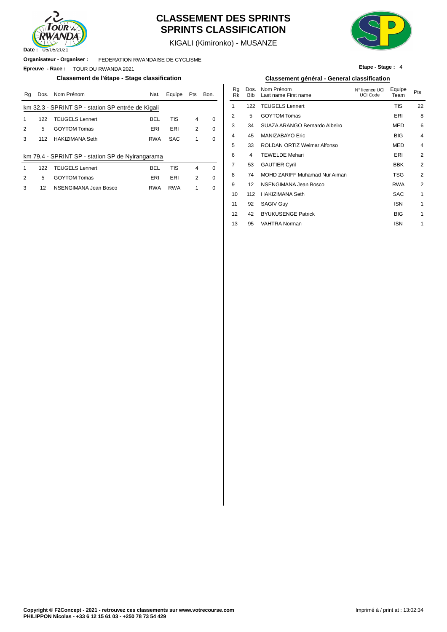

# **CLASSEMENT DES SPRINTS SPRINTS CLASSIFICATION**



**Etape - Stage :** 4

KIGALI (Kimironko) - MUSANZE

**Organisateur - Organiser :** FEDERATION RWANDAISE DE CYCLISME

**Epreuve - Race :** TOUR DU RWANDA 2021

### **Classement de l'étape - Stage classification Classement général - General classification**

| Rq | Dos. | Nom Prénom                                        | Nat.       | Equipe     | Pts | Bon.     | Ra<br>Rk | Dos.<br><b>Bib</b> | Nom Prénom<br>Last name First name | N° licence UCI<br><b>UCI Code</b> | Equipe<br>Team | Pts |
|----|------|---------------------------------------------------|------------|------------|-----|----------|----------|--------------------|------------------------------------|-----------------------------------|----------------|-----|
|    |      | km 32.3 - SPRINT SP - station SP entrée de Kigali |            |            |     |          |          | 122                | <b>TEUGELS Lennert</b>             |                                   | TIS            | 22  |
|    | 122  | <b>TEUGELS Lennert</b>                            | <b>BEL</b> | TIS        | 4   | 0        | 2        | 5                  | <b>GOYTOM Tomas</b>                |                                   | ERI            | ٤   |
| 2  | 5    | <b>GOYTOM Tomas</b>                               | ERI        | ERI        | 2   | $\Omega$ | 3        | 34                 | SUAZA ARANGO Bernardo Albeiro      |                                   | <b>MED</b>     | 6   |
| 3  | 112  | HAKIZIMANA Seth                                   | <b>RWA</b> | <b>SAC</b> |     | 0        | 4        | 45                 | MANIZABAYO Eric                    |                                   | <b>BIG</b>     |     |
|    |      |                                                   |            |            |     |          | 5        | 33                 | ROLDAN ORTIZ Weimar Alfonso        |                                   | <b>MED</b>     |     |
|    |      | km 79.4 - SPRINT SP - station SP de Nyirangarama  |            |            |     |          | 6        | 4                  | <b>TEWELDE Mehari</b>              |                                   | ERI            |     |
|    | 122  | <b>TEUGELS Lennert</b>                            | <b>BEL</b> | <b>TIS</b> | 4   | $\Omega$ |          | 53                 | <b>GAUTIER Cyril</b>               |                                   | <b>BBK</b>     | 2   |
| 2  | 5    | <b>GOYTOM Tomas</b>                               | ERI        | ERI        | 2   | $\Omega$ | 8        | 74                 | MOHD ZARIFF Muhamad Nur Aiman      |                                   | <b>TSG</b>     | 2   |
| 3  | 12   | NSENGIMANA Jean Bosco                             | <b>RWA</b> | <b>RWA</b> |     | 0        | 9        | 12                 | NSENGIMANA Jean Bosco              |                                   | <b>RWA</b>     | 2   |
|    |      |                                                   |            |            |     |          | 10       | 112                | HAKIZIMANA Seth                    |                                   | SAC.           |     |

| Nat.        | Equipe     | Pts            | Bon.     | Rq<br>Rk | Dos.<br><b>Bib</b> | Nom Prénom<br>Last name First name | N° licence UCI<br><b>UCI Code</b> | Equipe<br>Team | Pts            |
|-------------|------------|----------------|----------|----------|--------------------|------------------------------------|-----------------------------------|----------------|----------------|
| <u>gali</u> |            |                |          | 1        | 122                | <b>TEUGELS Lennert</b>             |                                   | <b>TIS</b>     | 22             |
| BEL         | <b>TIS</b> | $\overline{4}$ | 0        | 2        | 5                  | <b>GOYTOM Tomas</b>                |                                   | ERI            | 8              |
| ERI         | ERI        | 2              | $\Omega$ | 3        | 34                 | SUAZA ARANGO Bernardo Albeiro      |                                   | <b>MED</b>     | 6              |
| RWA         | <b>SAC</b> | 1              | 0        | 4        | 45                 | MANIZABAYO Eric                    |                                   | <b>BIG</b>     | $\overline{4}$ |
|             |            |                |          | 5        | 33                 | ROLDAN ORTIZ Weimar Alfonso        |                                   | <b>MED</b>     | $\overline{4}$ |
| rama        |            |                |          | 6        | 4                  | <b>TEWELDE Mehari</b>              |                                   | ERI            | 2              |
| BEL         | <b>TIS</b> | $\overline{4}$ | $\Omega$ | 7        | 53                 | <b>GAUTIER Cyril</b>               |                                   | <b>BBK</b>     | 2              |
| ERI         | ERI        | 2              | $\Omega$ | 8        | 74                 | MOHD ZARIFF Muhamad Nur Aiman      |                                   | <b>TSG</b>     | 2              |
| AW۶         | <b>RWA</b> | 1              | $\Omega$ | 9        | $12 \overline{ }$  | NSENGIMANA Jean Bosco              |                                   | <b>RWA</b>     | 2              |
|             |            |                |          | 10       | 112                | <b>HAKIZIMANA Seth</b>             |                                   | <b>SAC</b>     | 1              |
|             |            |                |          | 11       | 92                 | <b>SAGIV Guy</b>                   |                                   | <b>ISN</b>     | 1              |
|             |            |                |          | 12       | 42                 | <b>BYUKUSENGE Patrick</b>          |                                   | <b>BIG</b>     | 1              |
|             |            |                |          | 13       | 95                 | <b>VAHTRA Norman</b>               |                                   | <b>ISN</b>     | 1              |
|             |            |                |          |          |                    |                                    |                                   |                |                |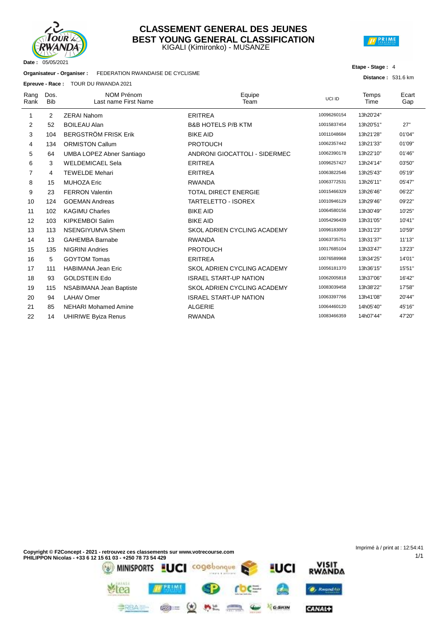

### KIGALI (Kimironko) - MUSANZE **CLASSEMENT GENERAL DES JEUNES BEST YOUNG GENERAL CLASSIFICATION**



#### **Etape - Stage :** 4

**Distance :** 531.6 km

1/1

| Organisateur - Organiser : | FEDERATION RWANDAISE DE CYCLISME |
|----------------------------|----------------------------------|
|                            |                                  |

**Epreuve - Race :** TOUR DU RWANDA 2021

|                |                    | <b>Epicuve - Race.</b> TOOR DO RWANDA 2021 |                               |             |               |              |
|----------------|--------------------|--------------------------------------------|-------------------------------|-------------|---------------|--------------|
| Rang<br>Rank   | Dos.<br><b>Bib</b> | <b>NOM Prénom</b><br>Last name First Name  | Equipe<br>Team                | UCI ID      | Temps<br>Time | Ecart<br>Gap |
| 1              | 2                  | <b>ZERAI Nahom</b>                         | <b>ERITREA</b>                | 10096260154 | 13h20'24"     |              |
| 2              | 52                 | <b>BOILEAU Alan</b>                        | <b>B&amp;B HOTELS P/B KTM</b> | 10015837454 | 13h20'51"     | 27"          |
| 3              | 104                | <b>BERGSTRÖM FRISK Erik</b>                | <b>BIKE AID</b>               | 10011048684 | 13h21'28"     | 01'04"       |
| 4              | 134                | <b>ORMISTON Callum</b>                     | <b>PROTOUCH</b>               | 10062357442 | 13h21'33"     | 01'09"       |
| 5              | 64                 | <b>UMBA LOPEZ Abner Santiago</b>           | ANDRONI GIOCATTOLI - SIDERMEC | 10062390178 | 13h22'10"     | 01'46"       |
| 6              | 3                  | <b>WELDEMICAEL Sela</b>                    | <b>ERITREA</b>                | 10096257427 | 13h24'14"     | 03'50"       |
| $\overline{7}$ | 4                  | <b>TEWELDE Mehari</b>                      | <b>ERITREA</b>                | 10063822546 | 13h25'43"     | 05'19"       |
| 8              | 15                 | <b>MUHOZA Eric</b>                         | <b>RWANDA</b>                 | 10063772531 | 13h26'11"     | 05'47"       |
| 9              | 23                 | <b>FERRON Valentin</b>                     | <b>TOTAL DIRECT ENERGIE</b>   | 10015466329 | 13h26'46"     | 06'22"       |
| 10             | 124                | <b>GOEMAN Andreas</b>                      | <b>TARTELETTO - ISOREX</b>    | 10010946129 | 13h29'46"     | 09'22"       |
| 11             | 102                | <b>KAGIMU Charles</b>                      | <b>BIKE AID</b>               | 10064580156 | 13h30'49"     | 10'25"       |
| 12             | 103                | <b>KIPKEMBOI Salim</b>                     | <b>BIKE AID</b>               | 10054296439 | 13h31'05"     | 10'41"       |
| 13             | 113                | <b>NSENGIYUMVA Shem</b>                    | SKOL ADRIEN CYCLING ACADEMY   | 10096183059 | 13h31'23"     | 10'59"       |
| 14             | 13                 | <b>GAHEMBA Barnabe</b>                     | <b>RWANDA</b>                 | 10063735751 | 13h31'37"     | 11'13"       |
| 15             | 135                | <b>NIGRINI Andries</b>                     | <b>PROTOUCH</b>               | 10017685104 | 13h33'47"     | 13'23"       |
| 16             | 5                  | <b>GOYTOM Tomas</b>                        | <b>ERITREA</b>                | 10076589968 | 13h34'25"     | 14'01"       |
| 17             | 111                | <b>HABIMANA Jean Eric</b>                  | SKOL ADRIEN CYCLING ACADEMY   | 10056181370 | 13h36'15"     | 15'51"       |
| 18             | 93                 | <b>GOLDSTEIN Edo</b>                       | <b>ISRAEL START-UP NATION</b> | 10062005818 | 13h37'06"     | 16'42"       |
| 19             | 115                | NSABIMANA Jean Baptiste                    | SKOL ADRIEN CYCLING ACADEMY   | 10083039458 | 13h38'22"     | 17'58"       |
| 20             | 94                 | <b>LAHAV Omer</b>                          | <b>ISRAEL START-UP NATION</b> | 10063397766 | 13h41'08"     | 20'44"       |
| 21             | 85                 | <b>NEHARI Mohamed Amine</b>                | <b>ALGERIE</b>                | 10064460120 | 14h05'40"     | 45'16"       |
| 22             | 14                 | <b>UHIRIWE Byiza Renus</b>                 | <b>RWANDA</b>                 | 10083466359 | 14h07'44"     | 47'20"       |
|                |                    |                                            |                               |             |               |              |

 $\qquad \qquad \Longrightarrow$ 

GARIN

CANAL+

 $\circledast = \circledast$  at

=RBAL-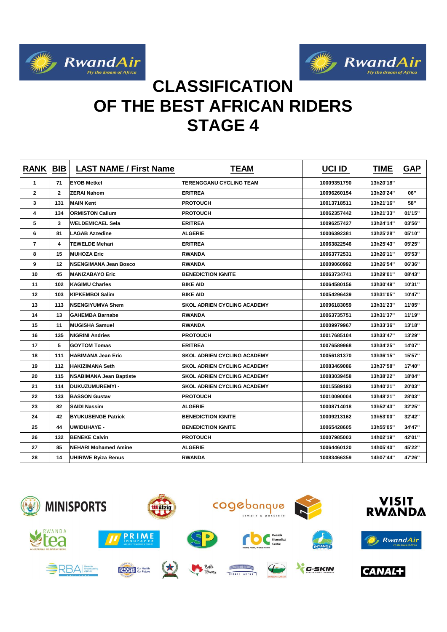



# **CLASSIFICATION OF THE BEST AFRICAN RIDERS STAGE 4**

| <b>RANK</b>    | <b>BIB</b>   | <b>LAST NAME / First Name</b>  | <b>TEAM</b>                        | <b>UCI ID</b> | <b>TIME</b> | <b>GAP</b> |
|----------------|--------------|--------------------------------|------------------------------------|---------------|-------------|------------|
| 1              | 71           | <b>EYOB Metkel</b>             | <b>TERENGGANU CYCLING TEAM</b>     | 10009351790   | 13h20'18"   |            |
| $\mathbf{2}$   | $\mathbf{2}$ | <b>ZERAI Nahom</b>             | <b>ERITREA</b>                     | 10096260154   | 13h20'24"   | 06"        |
| 3              | 131          | <b>MAIN Kent</b>               | <b>PROTOUCH</b>                    | 10013718511   | 13h21'16"   | 58"        |
| 4              | 134          | <b>ORMISTON Callum</b>         | <b>PROTOUCH</b>                    | 10062357442   | 13h21'33"   | 01'15"     |
| 5              | 3            | <b>WELDEMICAEL Sela</b>        | <b>ERITREA</b>                     | 10096257427   | 13h24'14"   | 03'56"     |
| 6              | 81           | <b>LAGAB Azzedine</b>          | <b>ALGERIE</b>                     | 10006392381   | 13h25'28"   | 05'10"     |
| $\overline{7}$ | 4            | <b>TEWELDE Mehari</b>          | <b>ERITREA</b>                     | 10063822546   | 13h25'43"   | 05'25"     |
| 8              | 15           | <b>MUHOZA Eric</b>             | <b>RWANDA</b>                      | 10063772531   | 13h26'11"   | 05'53"     |
| 9              | 12           | <b>NSENGIMANA Jean Bosco</b>   | <b>RWANDA</b>                      | 10009060992   | 13h26'54"   | 06'36"     |
| 10             | 45           | <b>MANIZABAYO Eric</b>         | <b>BENEDICTION IGNITE</b>          | 10063734741   | 13h29'01"   | 08'43"     |
| 11             | 102          | <b>KAGIMU Charles</b>          | <b>BIKE AID</b>                    | 10064580156   | 13h30'49"   | 10'31"     |
| 12             | 103          | <b>KIPKEMBOI Salim</b>         | <b>BIKE AID</b>                    | 10054296439   | 13h31'05"   | 10'47"     |
| 13             | 113          | <b>NSENGIYUMVA Shem</b>        | <b>SKOL ADRIEN CYCLING ACADEMY</b> | 10096183059   | 13h31'23"   | 11'05"     |
| 14             | 13           | <b>GAHEMBA Barnabe</b>         | <b>RWANDA</b>                      | 10063735751   | 13h31'37"   | 11'19"     |
| 15             | 11           | <b>MUGISHA Samuel</b>          | <b>RWANDA</b>                      | 10009979967   | 13h33'36"   | 13'18"     |
| 16             | 135          | <b>NIGRINI Andries</b>         | <b>PROTOUCH</b>                    | 10017685104   | 13h33'47"   | 13'29"     |
| 17             | 5            | <b>GOYTOM Tomas</b>            | <b>ERITREA</b>                     | 10076589968   | 13h34'25"   | 14'07"     |
| 18             | 111          | <b>HABIMANA Jean Eric</b>      | <b>SKOL ADRIEN CYCLING ACADEMY</b> | 10056181370   | 13h36'15"   | 15'57"     |
| 19             | 112          | <b>HAKIZIMANA Seth</b>         | <b>SKOL ADRIEN CYCLING ACADEMY</b> | 10083469086   | 13h37'58"   | 17'40"     |
| 20             | 115          | <b>NSABIMANA Jean Baptiste</b> | <b>SKOL ADRIEN CYCLING ACADEMY</b> | 10083039458   | 13h38'22"   | 18'04"     |
| 21             | 114          | DUKUZUMUREMYI -                | <b>SKOL ADRIEN CYCLING ACADEMY</b> | 10015589193   | 13h40'21"   | 20'03"     |
| 22             | 133          | <b>BASSON Gustav</b>           | <b>PROTOUCH</b>                    | 10010090004   | 13h48'21"   | 28'03"     |
| 23             | 82           | <b>SAIDI Nassim</b>            | <b>ALGERIE</b>                     | 10008714018   | 13h52'43"   | 32'25"     |
| 24             | 42           | <b>BYUKUSENGE Patrick</b>      | <b>BENEDICTION IGNITE</b>          | 10009213162   | 13h53'00"   | 32'42"     |
| 25             | 44           | <b>UWIDUHAYE -</b>             | <b>BENEDICTION IGNITE</b>          | 10065428605   | 13h55'05"   | 34'47"     |
| 26             | 132          | <b>BENEKE Calvin</b>           | <b>PROTOUCH</b>                    | 10007985003   | 14h02'19"   | 42'01"     |
| 27             | 85           | <b>NEHARI Mohamed Amine</b>    | <b>ALGERIE</b>                     | 10064460120   | 14h05'40"   | 45'22"     |
| 28             | 14           | <b>UHIRIWE Byiza Renus</b>     | <b>RWANDA</b>                      | 10083466359   | 14h07'44"   | 47'26"     |

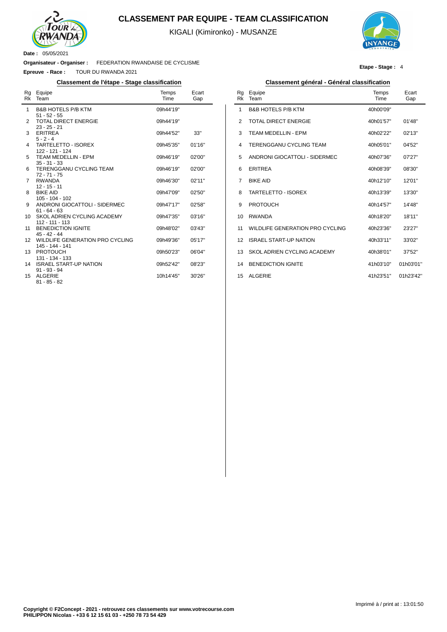

 $\overline{a}$ 

### **CLASSEMENT PAR EQUIPE - TEAM CLASSIFICATION**

KIGALI (Kimironko) - MUSANZE



**Etape - Stage :** 4

**Organisateur - Organiser :** FEDERATION RWANDAISE DE CYCLISME

**Epreuve - Race :** TOUR DU RWANDA 2021

| Rg<br>Rk     | Equipe<br>Team                                     | Temps<br>Time | Ecart<br>Gap |
|--------------|----------------------------------------------------|---------------|--------------|
| $\mathbf{1}$ | <b>B&amp;B HOTELS P/B KTM</b><br>$51 - 52 - 55$    | 09h44'19"     |              |
| 2            | <b>TOTAL DIRECT ENERGIE</b><br>$23 - 25 - 21$      | 09h44'19"     |              |
| 3            | <b>ERITREA</b><br>$5 - 2 - 4$                      | 09h44'52"     | 33"          |
| 4            | <b>TARTELETTO - ISOREX</b><br>122 - 121 - 124      | 09h45'35"     | 01'16"       |
| 5            | TEAM MEDELLIN - EPM<br>$35 - 31 - 33$              | 09h46'19"     | 02'00"       |
| 6            | <b>TERENGGANU CYCLING TEAM</b><br>$72 - 71 - 75$   | 09h46'19"     | 02'00"       |
| 7            | <b>RWANDA</b><br>$12 - 15 - 11$                    | 09h46'30"     | 02'11"       |
| 8            | <b>BIKE AID</b><br>$105 - 104 - 102$               | 09h47'09"     | 02'50''      |
| 9            | ANDRONI GIOCATTOLI - SIDERMEC<br>$61 - 64 - 63$    | 09h47'17"     | 02'58"       |
| 10           | SKOL ADRIEN CYCLING ACADEMY<br>$112 - 111 - 113$   | 09h47'35"     | 03'16"       |
| 11           | <b>BENEDICTION IGNITE</b><br>$45 - 42 - 44$        | 09h48'02"     | 03'43"       |
| 12           | WILDLIFE GENERATION PRO CYCLING<br>145 - 144 - 141 | 09h49'36"     | 05'17''      |
| 13           | <b>PROTOUCH</b><br>131 - 134 - 133                 | 09h50'23"     | 06'04"       |
| 14           | <b>ISRAEL START-UP NATION</b><br>$91 - 93 - 94$    | 09h52'42"     | 08'23"       |
| 15           | <b>ALGERIE</b><br>$81 - 85 - 82$                   | 10h14'45"     | 30'26"       |

### **Classement de l'étape - Stage classification Classement général - Général classification**

| Rg<br><b>Rk</b> | Equipe<br>Team                  | Temps<br>Time | Ecart<br>Gap |
|-----------------|---------------------------------|---------------|--------------|
| 1               | <b>B&amp;B HOTELS P/B KTM</b>   | 40h00'09"     |              |
| 2               | TOTAL DIRECT ENFRGIE            | 40h01'57"     | 01'48"       |
| 3               | TFAM MFDFI I IN - FPM           | 40h02'22"     | 02'13''      |
| 4               | TERENGGANU CYCLING TEAM         | 40h05'01"     | 04'52"       |
| 5               | ANDRONI GIOCATTOLI - SIDERMEC   | 40h07'36"     | 07'27"       |
| 6               | <b>ERITREA</b>                  | 40h08'39"     | 08'30"       |
| 7               | <b>BIKE AID</b>                 | 40h12'10"     | 12'01"       |
| 8               | <b>TARTELETTO - ISOREX</b>      | 40h13'39"     | 13'30"       |
| 9               | <b>PROTOUCH</b>                 | 40h14'57"     | 14'48"       |
| 10              | <b>RWANDA</b>                   | 40h18'20"     | 18'11"       |
| 11              | WILDLIFE GENERATION PRO CYCLING | 40h23'36"     | 23'27"       |
| 12              | <b>ISRAEL START-UP NATION</b>   | 40h33'11"     | 33'02"       |
| 13              | SKOL ADRIEN CYCLING ACADEMY     | 40h38'01"     | 37'52"       |
| 14              | <b>BENEDICTION IGNITE</b>       | 41h03'10"     | 01h03'01"    |
| 15              | <b>ALGERIE</b>                  | 41h23'51"     | 01h23'42"    |
|                 |                                 |               |              |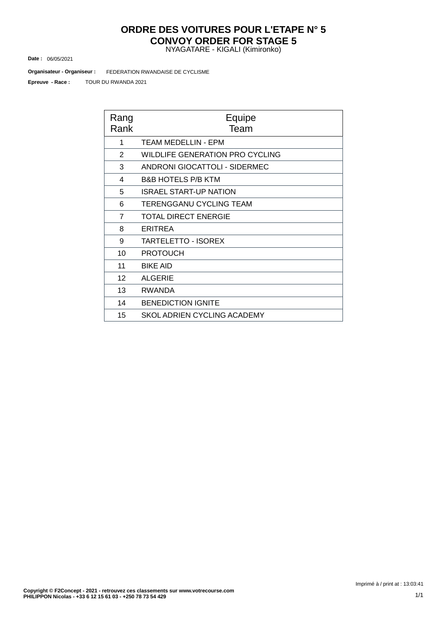# **ORDRE DES VOITURES POUR L'ETAPE N° 5 CONVOY ORDER FOR STAGE 5**

NYAGATARE - KIGALI (Kimironko)

06/05/2021 **Date :**

FEDERATION RWANDAISE DE CYCLISME **Organisateur - Organiseur :**

TOUR DU RWANDA 2021 **Epreuve - Race :**

| Rang<br>Rank   | Equipe<br>Team                  |
|----------------|---------------------------------|
| 1              | <b>TEAM MEDELLIN - EPM</b>      |
| 2              | WILDLIFE GENERATION PRO CYCLING |
| 3              | ANDRONI GIOCATTOLI - SIDERMEC   |
| 4              | <b>B&amp;B HOTELS P/B KTM</b>   |
| 5              | <b>ISRAEL START-UP NATION</b>   |
| 6              | <b>TERENGGANU CYCLING TEAM</b>  |
| $\overline{7}$ | <b>TOTAL DIRECT ENERGIE</b>     |
| 8              | <b>ERITREA</b>                  |
| 9              | <b>TARTELETTO - ISOREX</b>      |
| 10             | <b>PROTOUCH</b>                 |
| 11             | <b>BIKE AID</b>                 |
| 12             | <b>ALGERIE</b>                  |
| 13             | <b>RWANDA</b>                   |
| 14             | <b>BENEDICTION IGNITE</b>       |
| 15             | SKOL ADRIEN CYCLING ACADEMY     |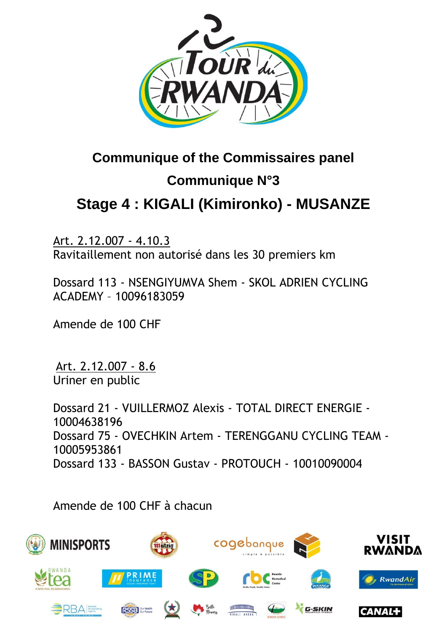

# **Communique of the Commissaires panel Communique N°3 Stage 4 : KIGALI [\(Kimironko\)](https://www.procyclingstats.com/race/tour-of-turkey/2021/stage-1) - MUSANZE**

Art. 2.12.007 - 4.10.3 Ravitaillement non autorisé dans les 30 premiers km

Dossard 113 - NSENGIYUMVA Shem - SKOL ADRIEN CYCLING ACADEMY – 10096183059

Amende de 100 CHF

Art. 2.12.007 - 8.6 Uriner en public

Dossard 21 - VUILLERMOZ Alexis - TOTAL DIRECT ENERGIE - 10004638196 Dossard 75 - OVECHKIN Artem - TERENGGANU CYCLING TEAM - 10005953861 Dossard 133 - BASSON Gustav - PROTOUCH - 10010090004

Amende de 100 CHF à chacun